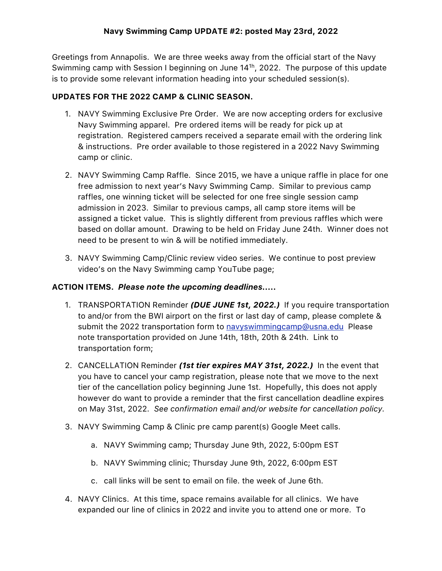## **Navy Swimming Camp UPDATE #2: posted May 23rd, 2022**

Greetings from Annapolis. We are three weeks away from the official start of the Navy Swimming camp with Session I beginning on June 14<sup>1h</sup>, 2022. The purpose of this update is to provide some relevant information heading into your scheduled session(s).

### **UPDATES FOR THE 2022 CAMP & CLINIC SEASON.**

- 1. NAVY Swimming Exclusive Pre Order. We are now accepting orders for exclusive Navy Swimming apparel. Pre ordered items will be ready for pick up at registration. Registered campers received a separate email with the ordering link & instructions. Pre order available to those registered in a 2022 Navy Swimming camp or clinic.
- 2. NAVY Swimming Camp Raffle. Since 2015, we have a unique raffle in place for one free admission to next year's Navy Swimming Camp. Similar to previous camp raffles, one winning ticket will be selected for one free single session camp admission in 2023. Similar to previous camps, all camp store items will be assigned a ticket value. This is slightly different from previous raffles which were based on dollar amount. Drawing to be held on Friday June 24th. Winner does not need to be present to win & will be notified immediately.
- 3. NAVY Swimming Camp/Clinic review video series. We continue to post preview video's on the Navy Swimming camp YouTube page;

### **ACTION ITEMS.** *Please note the upcoming deadlines.....*

- 1. TRANSPORTATION Reminder *(DUE JUNE 1st, 2022.)* If you require transportation to and/or from the BWI airport on the first or last day of camp, please complete & submit the 2022 transportation form to [navyswimmingcamp@usna.edu](mailto:navyswimmingcamp@usna.edu) Please note transportation provided on June 14th, 18th, 20th & 24th. Link to transportation form;
- 2. CANCELLATION Reminder *(1st tier expires MAY 31st, 2022.)* In the event that you have to cancel your camp registration, please note that we move to the next tier of the cancellation policy beginning June 1st. Hopefully, this does not apply however do want to provide a reminder that the first cancellation deadline expires on May 31st, 2022. *See confirmation email and/or website for cancellation policy*.
- 3. NAVY Swimming Camp & Clinic pre camp parent(s) Google Meet calls.
	- a. NAVY Swimming camp; Thursday June 9th, 2022, 5:00pm EST
	- b. NAVY Swimming clinic; Thursday June 9th, 2022, 6:00pm EST
	- c. call links will be sent to email on file. the week of June 6th.
- 4. NAVY Clinics. At this time, space remains available for all clinics. We have expanded our line of clinics in 2022 and invite you to attend one or more. To